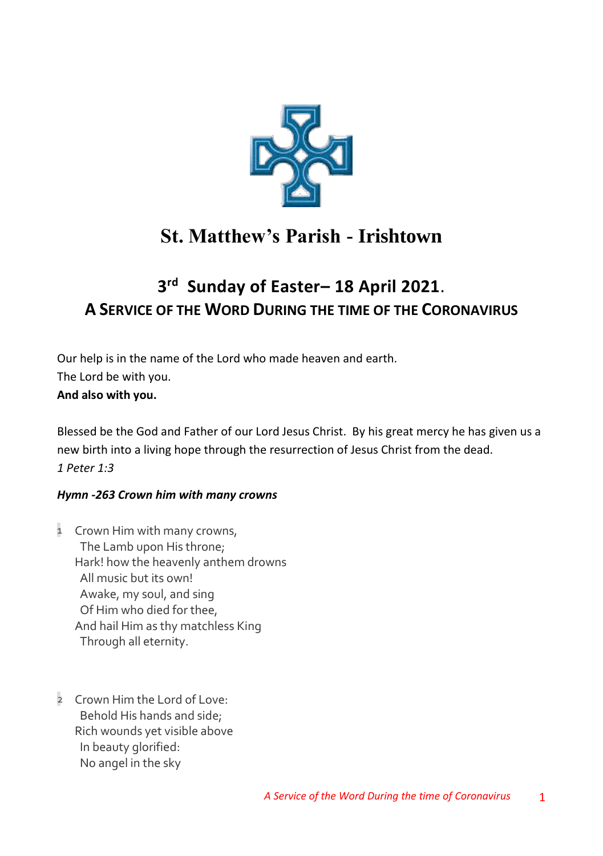

# **St. Matthew's Parish - Irishtown**

## **3 rd Sunday of Easter– 18 April 2021**. **A SERVICE OF THE WORD DURING THE TIME OF THE CORONAVIRUS**

Our help is in the name of the Lord who made heaven and earth. The Lord be with you. **And also with you.**

Blessed be the God and Father of our Lord Jesus Christ. By his great mercy he has given us a new birth into a living hope through the resurrection of Jesus Christ from the dead. *1 Peter 1:3* 

## *Hymn -263 Crown him with many crowns*

- 1 Crown Him with many crowns, The Lamb upon His throne; Hark! how the heavenly anthem drowns All music but its own! Awake, my soul, and sing Of Him who died for thee, And hail Him as thy matchless King Through all eternity.
- 2 Crown Him the Lord of Love: Behold His hands and side; Rich wounds yet visible above In beauty glorified: No angel in the sky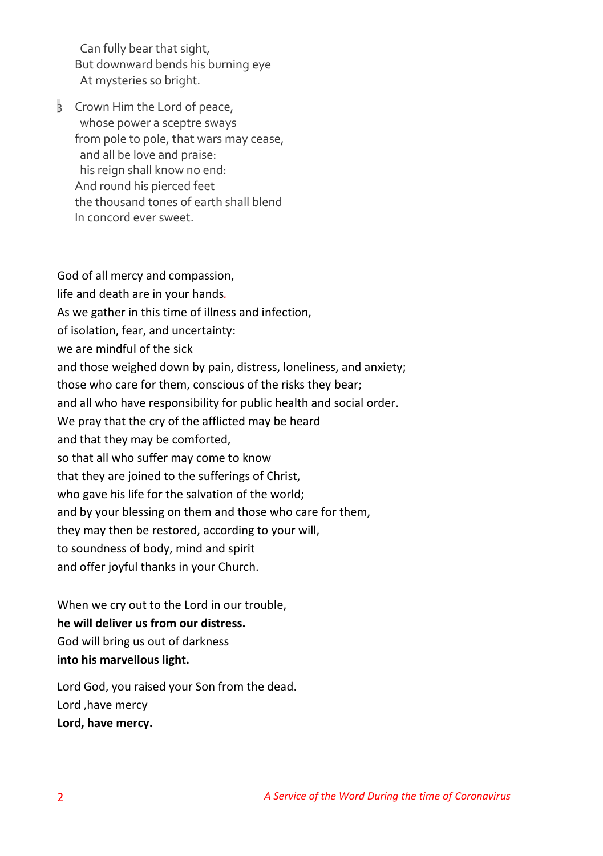Can fully bear that sight, But downward bends his burning eye At mysteries so bright.

3 Crown Him the Lord of peace, whose power a sceptre sways from pole to pole, that wars may cease, and all be love and praise: his reign shall know no end: And round his pierced feet the thousand tones of earth shall blend In concord ever sweet.

God of all mercy and compassion, life and death are in your hands*.* As we gather in this time of illness and infection, of isolation, fear, and uncertainty: we are mindful of the sick and those weighed down by pain, distress, loneliness, and anxiety; those who care for them, conscious of the risks they bear; and all who have responsibility for public health and social order. We pray that the cry of the afflicted may be heard and that they may be comforted, so that all who suffer may come to know that they are joined to the sufferings of Christ, who gave his life for the salvation of the world; and by your blessing on them and those who care for them, they may then be restored, according to your will, to soundness of body, mind and spirit and offer joyful thanks in your Church.

When we cry out to the Lord in our trouble, **he will deliver us from our distress.** God will bring us out of darkness **into his marvellous light.**

Lord God, you raised your Son from the dead. Lord ,have mercy **Lord, have mercy.**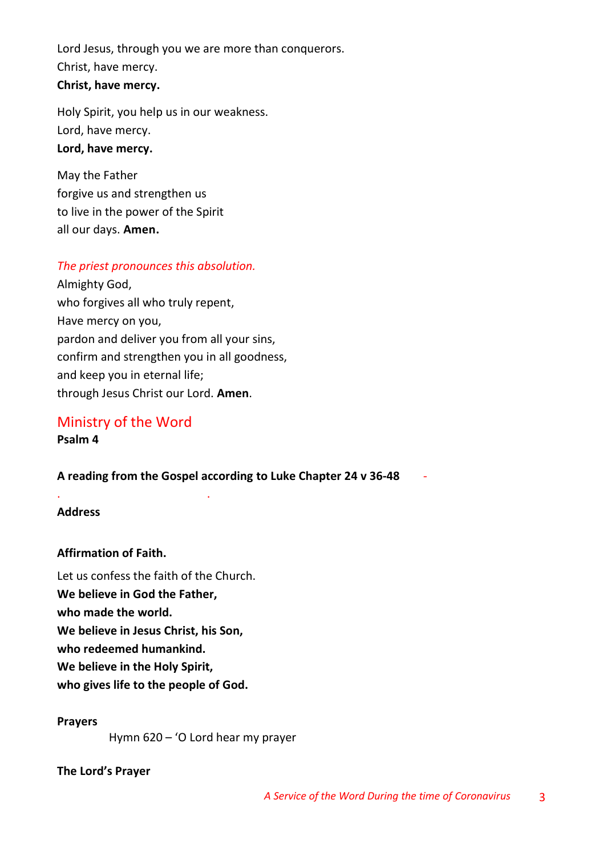Lord Jesus, through you we are more than conquerors. Christ, have mercy. **Christ, have mercy.**

Holy Spirit, you help us in our weakness. Lord, have mercy. **Lord, have mercy.**

May the Father forgive us and strengthen us to live in the power of the Spirit all our days. **Amen.**

## *The priest pronounces this absolution.*

Almighty God, who forgives all who truly repent, Have mercy on you, pardon and deliver you from all your sins, confirm and strengthen you in all goodness, and keep you in eternal life; through Jesus Christ our Lord. **Amen**.

## Ministry of the Word **Psalm 4**

. .

## **A reading from the Gospel according to Luke Chapter 24 v 36-48** *-*

### **Address**

## **Affirmation of Faith.**

Let us confess the faith of the Church. **We believe in God the Father, who made the world. We believe in Jesus Christ, his Son, who redeemed humankind. We believe in the Holy Spirit, who gives life to the people of God.**

### **Prayers**

Hymn 620 – 'O Lord hear my prayer

### **The Lord's Prayer**